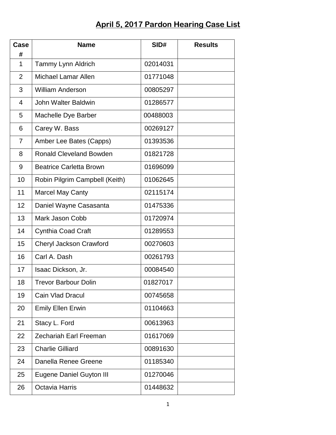## **April 5, 2017 Pardon Hearing Case List**

| Case<br>#      | <b>Name</b>                     | SID#     | <b>Results</b> |
|----------------|---------------------------------|----------|----------------|
| $\mathbf{1}$   | Tammy Lynn Aldrich              | 02014031 |                |
| $\overline{2}$ | <b>Michael Lamar Allen</b>      | 01771048 |                |
| 3              | <b>William Anderson</b>         | 00805297 |                |
| 4              | John Walter Baldwin             | 01286577 |                |
| 5              | Machelle Dye Barber             | 00488003 |                |
| 6              | Carey W. Bass                   | 00269127 |                |
| $\overline{7}$ | Amber Lee Bates (Capps)         | 01393536 |                |
| 8              | <b>Ronald Cleveland Bowden</b>  | 01821728 |                |
| 9              | <b>Beatrice Carletta Brown</b>  | 01696099 |                |
| 10             | Robin Pilgrim Campbell (Keith)  | 01062645 |                |
| 11             | <b>Marcel May Canty</b>         | 02115174 |                |
| 12             | Daniel Wayne Casasanta          | 01475336 |                |
| 13             | Mark Jason Cobb                 | 01720974 |                |
| 14             | Cynthia Coad Craft              | 01289553 |                |
| 15             | Cheryl Jackson Crawford         | 00270603 |                |
| 16             | Carl A. Dash                    | 00261793 |                |
| 17             | Isaac Dickson, Jr.              | 00084540 |                |
| 18             | <b>Trevor Barbour Dolin</b>     | 01827017 |                |
| 19             | Cain Vlad Dracul                | 00745658 |                |
| 20             | <b>Emily Ellen Erwin</b>        | 01104663 |                |
| 21             | Stacy L. Ford                   | 00613963 |                |
| 22             | <b>Zechariah Earl Freeman</b>   | 01617069 |                |
| 23             | <b>Charlie Gilliard</b>         | 00891630 |                |
| 24             | Danella Renee Greene            | 01185340 |                |
| 25             | <b>Eugene Daniel Guyton III</b> | 01270046 |                |
| 26             | Octavia Harris                  | 01448632 |                |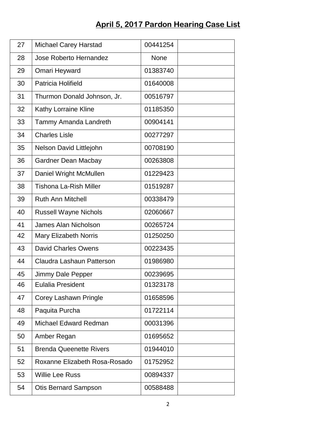## **April 5, 2017 Pardon Hearing Case List**

| 27 | <b>Michael Carey Harstad</b>   | 00441254    |  |
|----|--------------------------------|-------------|--|
| 28 | Jose Roberto Hernandez         | <b>None</b> |  |
| 29 | Omari Heyward                  | 01383740    |  |
| 30 | Patricia Holifield             | 01640008    |  |
| 31 | Thurmon Donald Johnson, Jr.    | 00516797    |  |
| 32 | <b>Kathy Lorraine Kline</b>    | 01185350    |  |
| 33 | Tammy Amanda Landreth          | 00904141    |  |
| 34 | <b>Charles Lisle</b>           | 00277297    |  |
| 35 | Nelson David Littlejohn        | 00708190    |  |
| 36 | <b>Gardner Dean Macbay</b>     | 00263808    |  |
| 37 | Daniel Wright McMullen         | 01229423    |  |
| 38 | <b>Tishona La-Rish Miller</b>  | 01519287    |  |
| 39 | <b>Ruth Ann Mitchell</b>       | 00338479    |  |
| 40 | <b>Russell Wayne Nichols</b>   | 02060667    |  |
| 41 | <b>James Alan Nicholson</b>    | 00265724    |  |
| 42 | Mary Elizabeth Norris          | 01250250    |  |
| 43 | <b>David Charles Owens</b>     | 00223435    |  |
| 44 | Claudra Lashaun Patterson      | 01986980    |  |
| 45 | Jimmy Dale Pepper              | 00239695    |  |
| 46 | <b>Eulalia President</b>       | 01323178    |  |
| 47 | Corey Lashawn Pringle          | 01658596    |  |
| 48 | Paquita Purcha                 | 01722114    |  |
| 49 | Michael Edward Redman          | 00031396    |  |
| 50 | Amber Regan                    | 01695652    |  |
| 51 | <b>Brenda Queenette Rivers</b> | 01944010    |  |
| 52 | Roxanne Elizabeth Rosa-Rosado  | 01752952    |  |
| 53 | <b>Willie Lee Russ</b>         | 00894337    |  |
| 54 | <b>Otis Bernard Sampson</b>    | 00588488    |  |